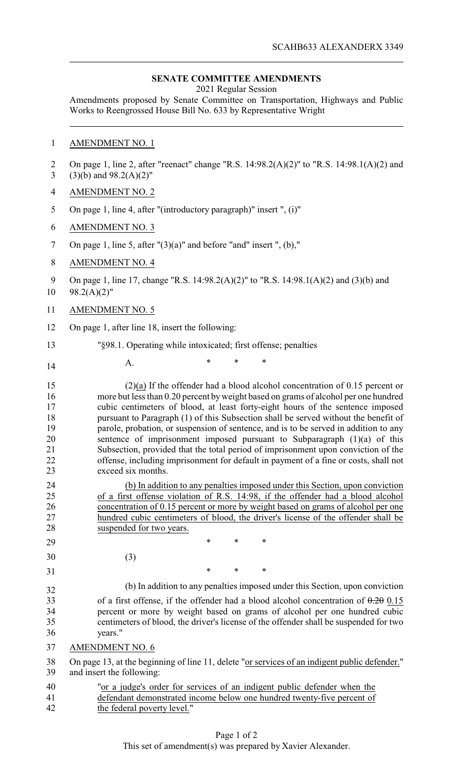#### **SENATE COMMITTEE AMENDMENTS**

2021 Regular Session

Amendments proposed by Senate Committee on Transportation, Highways and Public Works to Reengrossed House Bill No. 633 by Representative Wright

# 1 AMENDMENT NO. 1

| 2<br>3                                                         | On page 1, line 2, after "reenact" change "R.S. $14:98.2(A)(2)$ " to "R.S. $14:98.1(A)(2)$ and<br>$(3)(b)$ and $98.2(A)(2)$ "                                                                                                                                                                                                                                                                                                                                                                                                                                                                                                                                                                                                                                                                                                                                                           |
|----------------------------------------------------------------|-----------------------------------------------------------------------------------------------------------------------------------------------------------------------------------------------------------------------------------------------------------------------------------------------------------------------------------------------------------------------------------------------------------------------------------------------------------------------------------------------------------------------------------------------------------------------------------------------------------------------------------------------------------------------------------------------------------------------------------------------------------------------------------------------------------------------------------------------------------------------------------------|
| 4                                                              | <b>AMENDMENT NO. 2</b>                                                                                                                                                                                                                                                                                                                                                                                                                                                                                                                                                                                                                                                                                                                                                                                                                                                                  |
| 5                                                              | On page 1, line 4, after "(introductory paragraph)" insert ", (i)"                                                                                                                                                                                                                                                                                                                                                                                                                                                                                                                                                                                                                                                                                                                                                                                                                      |
| 6                                                              | <b>AMENDMENT NO. 3</b>                                                                                                                                                                                                                                                                                                                                                                                                                                                                                                                                                                                                                                                                                                                                                                                                                                                                  |
| 7                                                              | On page 1, line 5, after $''(3)(a)''$ and before "and" insert ", (b),"                                                                                                                                                                                                                                                                                                                                                                                                                                                                                                                                                                                                                                                                                                                                                                                                                  |
| 8                                                              | <b>AMENDMENT NO. 4</b>                                                                                                                                                                                                                                                                                                                                                                                                                                                                                                                                                                                                                                                                                                                                                                                                                                                                  |
| 9<br>10                                                        | On page 1, line 17, change "R.S. 14:98.2(A)(2)" to "R.S. 14:98.1(A)(2) and (3)(b) and<br>$98.2(A)(2)$ "                                                                                                                                                                                                                                                                                                                                                                                                                                                                                                                                                                                                                                                                                                                                                                                 |
| 11                                                             | <b>AMENDMENT NO. 5</b>                                                                                                                                                                                                                                                                                                                                                                                                                                                                                                                                                                                                                                                                                                                                                                                                                                                                  |
| 12                                                             | On page 1, after line 18, insert the following:                                                                                                                                                                                                                                                                                                                                                                                                                                                                                                                                                                                                                                                                                                                                                                                                                                         |
| 13                                                             | "§98.1. Operating while intoxicated; first offense; penalties                                                                                                                                                                                                                                                                                                                                                                                                                                                                                                                                                                                                                                                                                                                                                                                                                           |
| 14                                                             | $\ast$<br>*<br>A.                                                                                                                                                                                                                                                                                                                                                                                                                                                                                                                                                                                                                                                                                                                                                                                                                                                                       |
| 15<br>16<br>17<br>18<br>19<br>20<br>21<br>22<br>23<br>24<br>25 | $(2)(a)$ If the offender had a blood alcohol concentration of 0.15 percent or<br>more but less than 0.20 percent by weight based on grams of alcohol per one hundred<br>cubic centimeters of blood, at least forty-eight hours of the sentence imposed<br>pursuant to Paragraph (1) of this Subsection shall be served without the benefit of<br>parole, probation, or suspension of sentence, and is to be served in addition to any<br>sentence of imprisonment imposed pursuant to Subparagraph (1)(a) of this<br>Subsection, provided that the total period of imprisonment upon conviction of the<br>offense, including imprisonment for default in payment of a fine or costs, shall not<br>exceed six months.<br>(b) In addition to any penalties imposed under this Section, upon conviction<br>of a first offense violation of R.S. 14:98, if the offender had a blood alcohol |
| 26<br>27                                                       | concentration of 0.15 percent or more by weight based on grams of alcohol per one<br>hundred cubic centimeters of blood, the driver's license of the offender shall be                                                                                                                                                                                                                                                                                                                                                                                                                                                                                                                                                                                                                                                                                                                  |
| 28                                                             | suspended for two years.                                                                                                                                                                                                                                                                                                                                                                                                                                                                                                                                                                                                                                                                                                                                                                                                                                                                |
| 29                                                             | *<br>∗<br>∗                                                                                                                                                                                                                                                                                                                                                                                                                                                                                                                                                                                                                                                                                                                                                                                                                                                                             |
| 30                                                             | (3)<br>*<br>∗<br>∗                                                                                                                                                                                                                                                                                                                                                                                                                                                                                                                                                                                                                                                                                                                                                                                                                                                                      |
| 31                                                             |                                                                                                                                                                                                                                                                                                                                                                                                                                                                                                                                                                                                                                                                                                                                                                                                                                                                                         |
| 32<br>33<br>34<br>35<br>36                                     | (b) In addition to any penalties imposed under this Section, upon conviction<br>of a first offense, if the offender had a blood alcohol concentration of $0.20015$<br>percent or more by weight based on grams of alcohol per one hundred cubic<br>centimeters of blood, the driver's license of the offender shall be suspended for two<br>years."                                                                                                                                                                                                                                                                                                                                                                                                                                                                                                                                     |
| 37                                                             | <b>AMENDMENT NO. 6</b>                                                                                                                                                                                                                                                                                                                                                                                                                                                                                                                                                                                                                                                                                                                                                                                                                                                                  |
| 38<br>39                                                       | On page 13, at the beginning of line 11, delete "or services of an indigent public defender."<br>and insert the following:                                                                                                                                                                                                                                                                                                                                                                                                                                                                                                                                                                                                                                                                                                                                                              |
| 40                                                             | "or a judge's order for services of an indigent public defender when the                                                                                                                                                                                                                                                                                                                                                                                                                                                                                                                                                                                                                                                                                                                                                                                                                |
| 41<br>42                                                       | defendant demonstrated income below one hundred twenty-five percent of<br>the federal poverty level."                                                                                                                                                                                                                                                                                                                                                                                                                                                                                                                                                                                                                                                                                                                                                                                   |
|                                                                |                                                                                                                                                                                                                                                                                                                                                                                                                                                                                                                                                                                                                                                                                                                                                                                                                                                                                         |